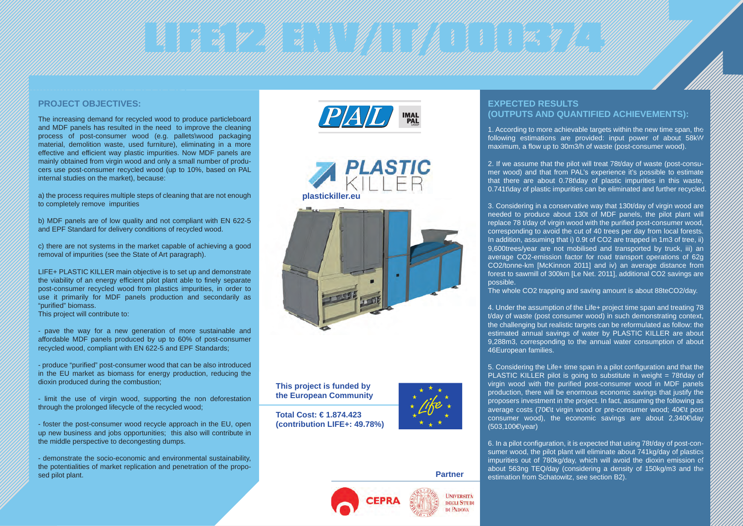## En formally and the contract of the contract of the contract of the contract of the contract of the contract of

#### **PROJECT OBJECTIVES:**

The increasing demand for recycled wood to produce particleboard and MDF panels has resulted in the need to improve the cleaning process of post-consumer wood (e.g. pallets\wood packaging material, demolition waste, used furniture), eliminating in a more effective and efficient way plastic impurities. Now MDF panels are mainly obtained from virgin wood and only a small number of producers use post-consumer recycled wood (up to 10%, based on PAL internal studies on the market), because:

a) the process requires multiple steps of cleaning that are not enough to completely remove impurities

b) MDF panels are of low quality and not compliant with EN 622-5 and EPF Standard for delivery conditions of recycled wood.

c) there are not systems in the market capable of achieving a good removal of impurities (see the State of Art paragraph).

LIFE+ PLASTIC KILLER main objective is to set up and demonstrate the viability of an energy efficient pilot plant able to finely separate post-consumer recycled wood from plastics impurities, in order to use it primarily for MDF panels production and secondarily as "purified" biomass. This project will contribute to:

- pave the way for a new generation of more sustainable and affordable MDF panels produced by up to 60% of post-consumer recycled wood, compliant with EN 622-5 and EPF Standards;

- produce "purified" post-consumer wood that can be also introduced in the EU market as biomass for energy production, reducing the dioxin produced during the combustion;

- limit the use of virgin wood, supporting the non deforestation through the prolonged lifecycle of the recycled wood;

- foster the post-consumer wood recycle approach in the EU, open up new business and jobs opportunities; this also will contribute in the middle perspective to decongesting dumps.

- demonstrate the socio-economic and environmental sustainability, the potentialities of market replication and penetration of the proposed pilot plant.



**plastickiller.eu**



**This project is funded by the European Community**

**Total Cost: € 1.874.423 (contribution LIFE+: 49.78%)** 



**Partner**

**UNIVERSITÀ DEGLI STUDI** DI PADOVA

### **EXPECTED RESULTS (OUTPUTS AND QUANTIFIED ACHIEVEMENTS):**

1. According to more achievable targets within the new time span, the following estimations are provided: input power of about 58kW maximum, a flow up to 30m3/h of waste (post-consumer wood).

2. If we assume that the pilot will treat 78t/day of waste (post-consumer wood) and that from PAL's experience it's possible to estimate that there are about 0.78t\day of plastic impurities in this waste, 0.741t\day of plastic impurities can be eliminated and further recycled.

3. Considering in a conservative way that 130t/day of virgin wood are needed to produce about 130t of MDF panels, the pilot plant will replace 78 t/day of virgin wood with the purified post-consumer wood, corresponding to avoid the cut of 40 trees per day from local forests. In addition, assuming that i) 0.9t of CO2 are trapped in 1m3 of tree, ii) 9,600trees/year are not mobilised and transported by truck, iii) an average CO2-emission factor for road transport operations of 62g CO2/tonne-km [McKinnon 2011] and iv) an average distance from forest to sawmill of 300km [Le Net. 2011], additional CO2 savings are possible.

The whole CO2 trapping and saving amount is about 88teCO2/day.

4. Under the assumption of the Life+ project time span and treating 78 t/day of waste (post consumer wood) in such demonstrating context, the challenging but realistic targets can be reformulated as follow: the estimated annual savings of water by PLASTIC KILLER are about 9,288m3, corresponding to the annual water consumption of about 46European families.

5. Considering the Life+ time span in a pilot configuration and that the PLASTIC KILLER pilot is going to substitute in weight = 78t\day of virgin wood with the purified post-consumer wood in MDF panels production, there will be enormous economic savings that justify the proposers investment in the project. In fact, assuming the following as average costs (70€\t virgin wood or pre-consumer wood; 40€\t post consumer wood), the economic savings are about  $2.340 \epsilon$  day (503,100€\year)

6. In a pilot configuration, it is expected that using 78t/day of post-consumer wood, the pilot plant will eliminate about 741kg/day of plastics impurities out of 780kg/day, which will avoid the dioxin emission of about 563ng TEQ/day (considering a density of 150kg/m3 and the estimation from Schatowitz, see section B2).